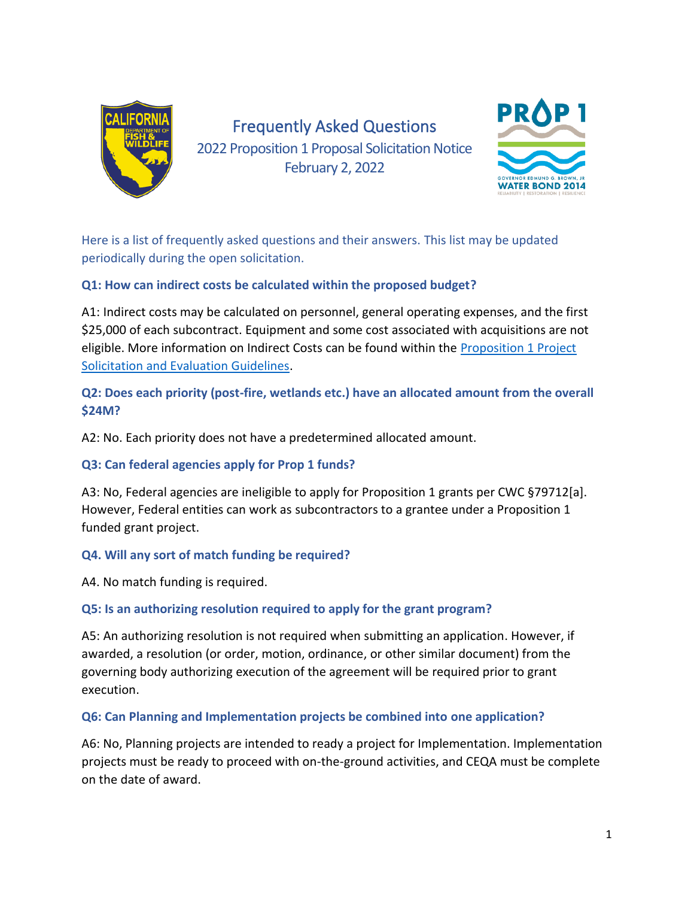

# Frequently Asked Questions

2022 Proposition 1 Proposal Solicitation Notice February 2, 2022



Here is a list of frequently asked questions and their answers. This list may be updated periodically during the open solicitation.

#### **Q1: How can indirect costs be calculated within the proposed budget?**

A1: Indirect costs may be calculated on personnel, general operating expenses, and the first \$25,000 of each subcontract. Equipment and some cost associated with acquisitions are not eligible. More information on Indirect Costs can be found within the Proposition 1 Project [Solicitation and Evaluation Guidelines.](http://nrm.dfg.ca.gov/FileHandler.ashx?DocumentID=102262&inline)

**Q2: Does each priority (post-fire, wetlands etc.) have an allocated amount from the overall \$24M?**

A2: No. Each priority does not have a predetermined allocated amount.

# **Q3: Can federal agencies apply for Prop 1 funds?**

A3: No, Federal agencies are ineligible to apply for Proposition 1 grants per CWC §79712[a]. However, Federal entities can work as subcontractors to a grantee under a Proposition 1 funded grant project.

# **Q4. Will any sort of match funding be required?**

A4. No match funding is required.

# **Q5: Is an authorizing resolution required to apply for the grant program?**

A5: An authorizing resolution is not required when submitting an application. However, if awarded, a resolution (or order, motion, ordinance, or other similar document) from the governing body authorizing execution of the agreement will be required prior to grant execution.

**Q6: Can Planning and Implementation projects be combined into one application?** 

A6: No, Planning projects are intended to ready a project for Implementation. Implementation projects must be ready to proceed with on-the-ground activities, and CEQA must be complete on the date of award.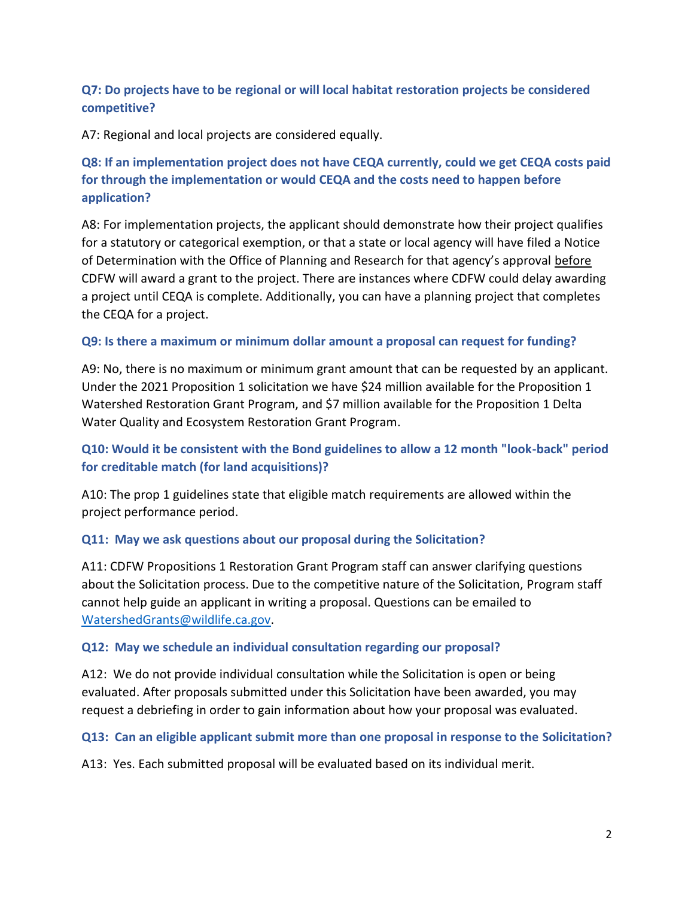#### **Q7: Do projects have to be regional or will local habitat restoration projects be considered competitive?**

A7: Regional and local projects are considered equally.

# **Q8: If an implementation project does not have CEQA currently, could we get CEQA costs paid for through the implementation or would CEQA and the costs need to happen before application?**

A8: For implementation projects, the applicant should demonstrate how their project qualifies for a statutory or categorical exemption, or that a state or local agency will have filed a Notice of Determination with the Office of Planning and Research for that agency's approval before CDFW will award a grant to the project. There are instances where CDFW could delay awarding a project until CEQA is complete. Additionally, you can have a planning project that completes the CEQA for a project.

#### **Q9: Is there a maximum or minimum dollar amount a proposal can request for funding?**

A9: No, there is no maximum or minimum grant amount that can be requested by an applicant. Under the 2021 Proposition 1 solicitation we have \$24 million available for the Proposition 1 Watershed Restoration Grant Program, and \$7 million available for the Proposition 1 Delta Water Quality and Ecosystem Restoration Grant Program.

# **Q10: Would it be consistent with the Bond guidelines to allow a 12 month "look-back" period for creditable match (for land acquisitions)?**

A10: The prop 1 guidelines state that eligible match requirements are allowed within the project performance period.

#### **Q11: May we ask questions about our proposal during the Solicitation?**

A11: CDFW Propositions 1 Restoration Grant Program staff can answer clarifying questions about the Solicitation process. Due to the competitive nature of the Solicitation, Program staff cannot help guide an applicant in writing a proposal. Questions can be emailed to [WatershedGrants@wildlife.ca.gov.](mailto:WatershedGrants@wildlife.ca.gov)

#### **Q12: May we schedule an individual consultation regarding our proposal?**

A12: We do not provide individual consultation while the Solicitation is open or being evaluated. After proposals submitted under this Solicitation have been awarded, you may request a debriefing in order to gain information about how your proposal was evaluated.

#### **Q13: Can an eligible applicant submit more than one proposal in response to the Solicitation?**

A13: Yes. Each submitted proposal will be evaluated based on its individual merit.